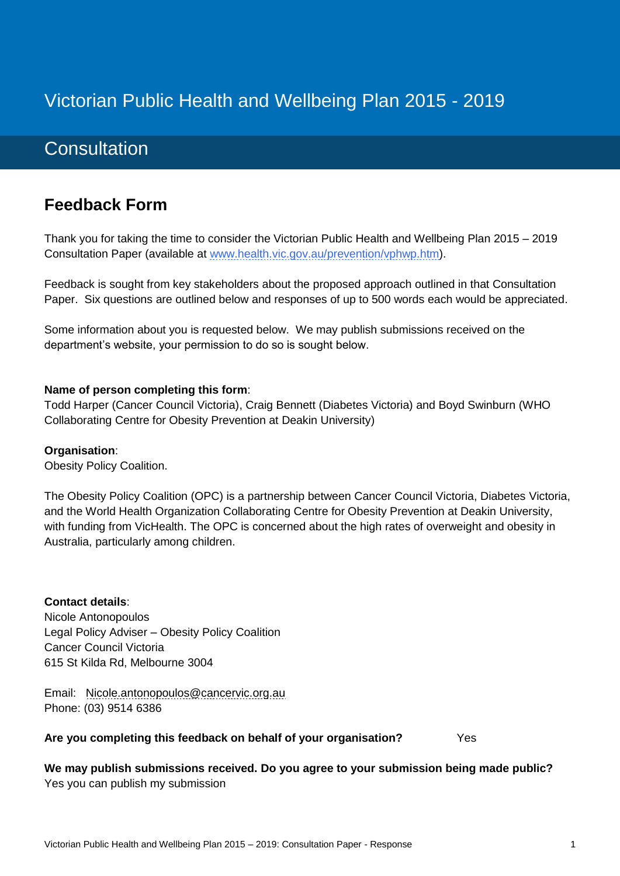# Victorian Public Health and Wellbeing Plan 2015 - 2019

# **Consultation**

# **Feedback Form**

Thank you for taking the time to consider the Victorian Public Health and Wellbeing Plan 2015 – 2019 Consultation Paper (available at [www.health.vic.gov.au/prevention/vphwp.htm\)](http://www.health.vic.gov.au/prevention/vphwp.htm).

Feedback is sought from key stakeholders about the proposed approach outlined in that Consultation Paper. Six questions are outlined below and responses of up to 500 words each would be appreciated.

Some information about you is requested below. We may publish submissions received on the department's website, your permission to do so is sought below.

#### **Name of person completing this form**:

Todd Harper (Cancer Council Victoria), Craig Bennett (Diabetes Victoria) and Boyd Swinburn (WHO Collaborating Centre for Obesity Prevention at Deakin University)

#### **Organisation**:

Obesity Policy Coalition.

The Obesity Policy Coalition (OPC) is a partnership between Cancer Council Victoria, Diabetes Victoria, and the World Health Organization Collaborating Centre for Obesity Prevention at Deakin University, with funding from VicHealth. The OPC is concerned about the high rates of overweight and obesity in Australia, particularly among children.

**Contact details**: Nicole Antonopoulos Legal Policy Adviser – Obesity Policy Coalition Cancer Council Victoria 615 St Kilda Rd, Melbourne 3004

Email: [Nicole.antonopoulos@cancervic.org.au](mailto:Nicole.antonopoulos@cancervic.org.au) Phone: (03) 9514 6386

#### **Are you completing this feedback on behalf of your organisation?** Yes

**We may publish submissions received. Do you agree to your submission being made public?** Yes you can publish my submission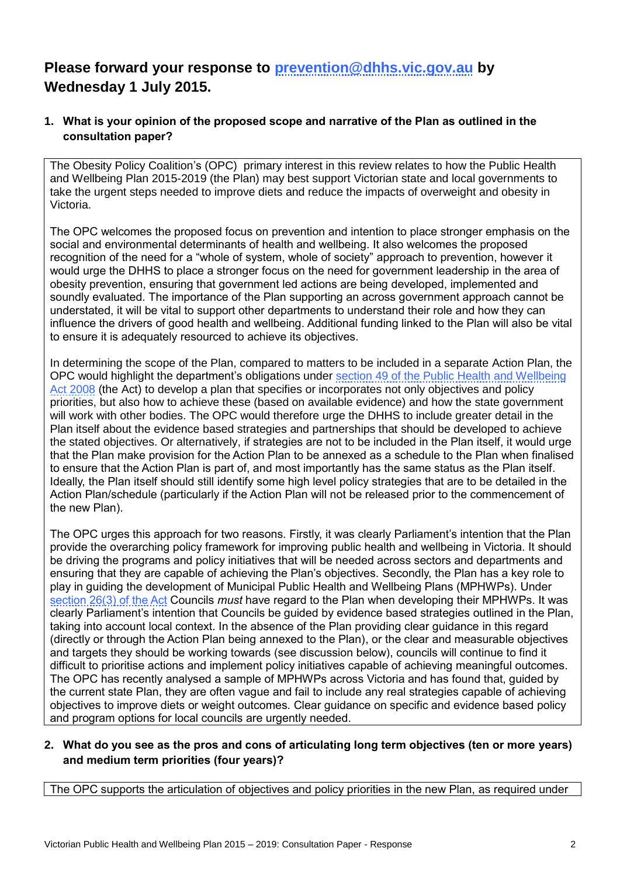# **Please forward your response to [prevention@dhhs.vic.gov.au](mailto:prevention@dhhs.vic.gov.au) by Wednesday 1 July 2015.**

## **1. What is your opinion of the proposed scope and narrative of the Plan as outlined in the consultation paper?**

The Obesity Policy Coalition's (OPC) primary interest in this review relates to how the Public Health and Wellbeing Plan 2015-2019 (the Plan) may best support Victorian state and local governments to take the urgent steps needed to improve diets and reduce the impacts of overweight and obesity in Victoria.

The OPC welcomes the proposed focus on prevention and intention to place stronger emphasis on the social and environmental determinants of health and wellbeing. It also welcomes the proposed recognition of the need for a "whole of system, whole of society" approach to prevention, however it would urge the DHHS to place a stronger focus on the need for government leadership in the area of obesity prevention, ensuring that government led actions are being developed, implemented and soundly evaluated. The importance of the Plan supporting an across government approach cannot be understated, it will be vital to support other departments to understand their role and how they can influence the drivers of good health and wellbeing. Additional funding linked to the Plan will also be vital to ensure it is adequately resourced to achieve its objectives.

In determining the scope of the Plan, compared to matters to be included in a separate Action Plan, the OPC would highlight the department's obligations under [section 49 of the Public Health and Wellbeing](http://www.austlii.edu.au/au/legis/vic/consol_act/phawa2008222/s49.html)  [Act 2008](http://www.austlii.edu.au/au/legis/vic/consol_act/phawa2008222/s49.html) (the Act) to develop a plan that specifies or incorporates not only objectives and policy priorities, but also how to achieve these (based on available evidence) and how the state government will work with other bodies. The OPC would therefore urge the DHHS to include greater detail in the Plan itself about the evidence based strategies and partnerships that should be developed to achieve the stated objectives. Or alternatively, if strategies are not to be included in the Plan itself, it would urge that the Plan make provision for the Action Plan to be annexed as a schedule to the Plan when finalised to ensure that the Action Plan is part of, and most importantly has the same status as the Plan itself. Ideally, the Plan itself should still identify some high level policy strategies that are to be detailed in the Action Plan/schedule (particularly if the Action Plan will not be released prior to the commencement of the new Plan).

The OPC urges this approach for two reasons. Firstly, it was clearly Parliament's intention that the Plan provide the overarching policy framework for improving public health and wellbeing in Victoria. It should be driving the programs and policy initiatives that will be needed across sectors and departments and ensuring that they are capable of achieving the Plan's objectives. Secondly, the Plan has a key role to play in guiding the development of Municipal Public Health and Wellbeing Plans (MPHWPs). Under [section 26\(3\) of the Act](http://www.austlii.edu.au/au/legis/vic/consol_act/phawa2008222/s26.html) Councils *must* have regard to the Plan when developing their MPHWPs. It was clearly Parliament's intention that Councils be guided by evidence based strategies outlined in the Plan, taking into account local context. In the absence of the Plan providing clear guidance in this regard (directly or through the Action Plan being annexed to the Plan), or the clear and measurable objectives and targets they should be working towards (see discussion below), councils will continue to find it difficult to prioritise actions and implement policy initiatives capable of achieving meaningful outcomes. The OPC has recently analysed a sample of MPHWPs across Victoria and has found that, guided by the current state Plan, they are often vague and fail to include any real strategies capable of achieving objectives to improve diets or weight outcomes. Clear guidance on specific and evidence based policy and program options for local councils are urgently needed.

## **2. What do you see as the pros and cons of articulating long term objectives (ten or more years) and medium term priorities (four years)?**

The OPC supports the articulation of objectives and policy priorities in the new Plan, as required under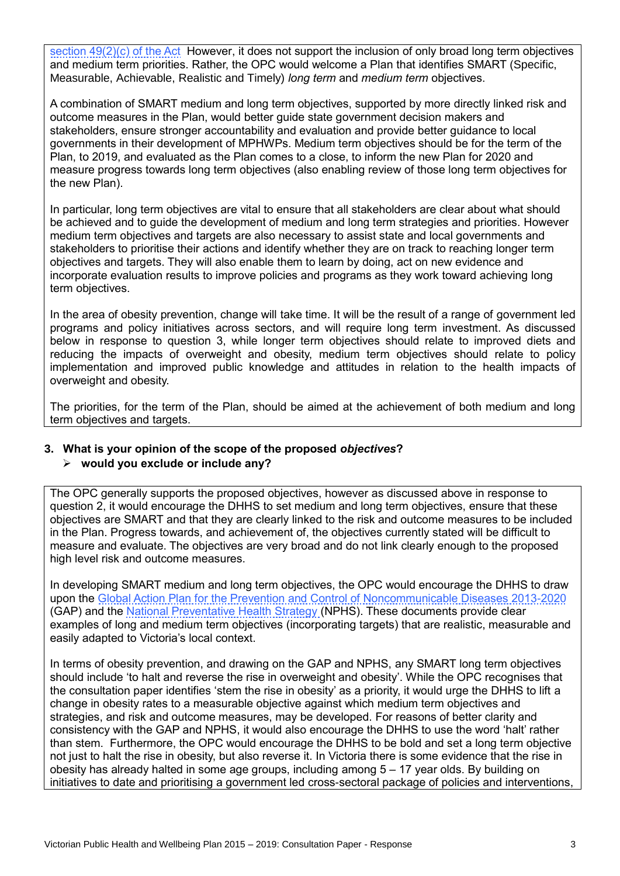[section 49\(2\)\(c\) of the Act](http://www.austlii.edu.au/au/legis/vic/consol_act/phawa2008222/s49.html) However, it does not support the inclusion of only broad long term objectives and medium term priorities. Rather, the OPC would welcome a Plan that identifies SMART (Specific, Measurable, Achievable, Realistic and Timely) *long term* and *medium term* objectives.

A combination of SMART medium and long term objectives, supported by more directly linked risk and outcome measures in the Plan, would better guide state government decision makers and stakeholders, ensure stronger accountability and evaluation and provide better guidance to local governments in their development of MPHWPs. Medium term objectives should be for the term of the Plan, to 2019, and evaluated as the Plan comes to a close, to inform the new Plan for 2020 and measure progress towards long term objectives (also enabling review of those long term objectives for the new Plan).

In particular, long term objectives are vital to ensure that all stakeholders are clear about what should be achieved and to guide the development of medium and long term strategies and priorities. However medium term objectives and targets are also necessary to assist state and local governments and stakeholders to prioritise their actions and identify whether they are on track to reaching longer term objectives and targets. They will also enable them to learn by doing, act on new evidence and incorporate evaluation results to improve policies and programs as they work toward achieving long term objectives.

In the area of obesity prevention, change will take time. It will be the result of a range of government led programs and policy initiatives across sectors, and will require long term investment. As discussed below in response to question 3, while longer term objectives should relate to improved diets and reducing the impacts of overweight and obesity, medium term objectives should relate to policy implementation and improved public knowledge and attitudes in relation to the health impacts of overweight and obesity.

The priorities, for the term of the Plan, should be aimed at the achievement of both medium and long term objectives and targets.

#### **3. What is your opinion of the scope of the proposed** *objectives***?**

## **would you exclude or include any?**

The OPC generally supports the proposed objectives, however as discussed above in response to question 2, it would encourage the DHHS to set medium and long term objectives, ensure that these objectives are SMART and that they are clearly linked to the risk and outcome measures to be included in the Plan. Progress towards, and achievement of, the objectives currently stated will be difficult to measure and evaluate. The objectives are very broad and do not link clearly enough to the proposed high level risk and outcome measures.

In developing SMART medium and long term objectives, the OPC would encourage the DHHS to draw upon the [Global Action Plan for the Prevention and Control of Noncommunicable Diseases 2013-2020](http://www.who.int/global-coordination-mechanism/publications/global-action-plan-ncds-eng.pdf?ua=1) (GAP) and the [National Preventative Health](http://www.preventativehealth.org.au/internet/preventativehealth/publishing.nsf/Content/CCD7323311E358BECA2575FD000859E1/$File/nphs-roadmap-3.pdf) Strategy (NPHS). These documents provide clear examples of long and medium term objectives (incorporating targets) that are realistic, measurable and easily adapted to Victoria's local context.

In terms of obesity prevention, and drawing on the GAP and NPHS, any SMART long term objectives should include 'to halt and reverse the rise in overweight and obesity'. While the OPC recognises that the consultation paper identifies 'stem the rise in obesity' as a priority, it would urge the DHHS to lift a change in obesity rates to a measurable objective against which medium term objectives and strategies, and risk and outcome measures, may be developed. For reasons of better clarity and consistency with the GAP and NPHS, it would also encourage the DHHS to use the word 'halt' rather than stem. Furthermore, the OPC would encourage the DHHS to be bold and set a long term objective not just to halt the rise in obesity, but also reverse it. In Victoria there is some evidence that the rise in obesity has already halted in some age groups, including among 5 – 17 year olds. By building on initiatives to date and prioritising a government led cross-sectoral package of policies and interventions,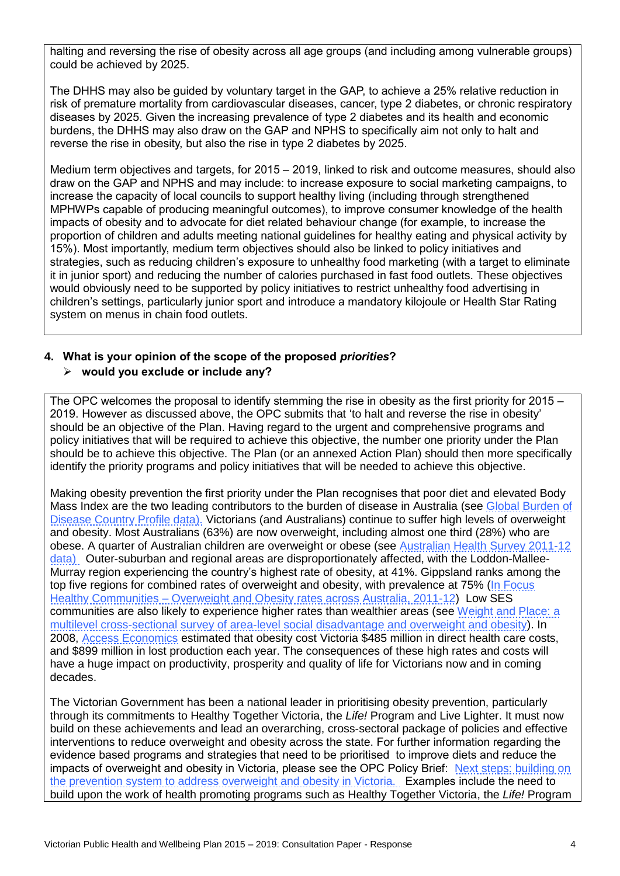halting and reversing the rise of obesity across all age groups (and including among vulnerable groups) could be achieved by 2025.

The DHHS may also be guided by voluntary target in the GAP, to achieve a 25% relative reduction in risk of premature mortality from cardiovascular diseases, cancer, type 2 diabetes, or chronic respiratory diseases by 2025. Given the increasing prevalence of type 2 diabetes and its health and economic burdens, the DHHS may also draw on the GAP and NPHS to specifically aim not only to halt and reverse the rise in obesity, but also the rise in type 2 diabetes by 2025.

Medium term objectives and targets, for 2015 – 2019, linked to risk and outcome measures, should also draw on the GAP and NPHS and may include: to increase exposure to social marketing campaigns, to increase the capacity of local councils to support healthy living (including through strengthened MPHWPs capable of producing meaningful outcomes), to improve consumer knowledge of the health impacts of obesity and to advocate for diet related behaviour change (for example, to increase the proportion of children and adults meeting national guidelines for healthy eating and physical activity by 15%). Most importantly, medium term objectives should also be linked to policy initiatives and strategies, such as reducing children's exposure to unhealthy food marketing (with a target to eliminate it in junior sport) and reducing the number of calories purchased in fast food outlets. These objectives would obviously need to be supported by policy initiatives to restrict unhealthy food advertising in children's settings, particularly junior sport and introduce a mandatory kilojoule or Health Star Rating system on menus in chain food outlets.

# **4. What is your opinion of the scope of the proposed** *priorities***?**

## **would you exclude or include any?**

The OPC welcomes the proposal to identify stemming the rise in obesity as the first priority for 2015 – 2019. However as discussed above, the OPC submits that 'to halt and reverse the rise in obesity' should be an objective of the Plan. Having regard to the urgent and comprehensive programs and policy initiatives that will be required to achieve this objective, the number one priority under the Plan should be to achieve this objective. The Plan (or an annexed Action Plan) should then more specifically identify the priority programs and policy initiatives that will be needed to achieve this objective.

Making obesity prevention the first priority under the Plan recognises that poor diet and elevated Body Mass Index are the two leading contributors to the burden of disease in Australia (see [Global Burden of](http://www.healthmetricsandevaluation.org/)  [Disease Country Profile data\)](http://www.healthmetricsandevaluation.org/). Victorians (and Australians) continue to suffer high levels of overweight and obesity. Most Australians (63%) are now overweight, including almost one third (28%) who are obese. A quarter of Australian children are overweight or obese (see Australian Health Survey 2011-12 [data\)](http://www.abs.gov.au/ausstats/abs@.nsf/lookup/33C64022ABB5ECD5CA257B8200179437?opendocument) Outer-suburban and regional areas are disproportionately affected, with the Loddon-Mallee-Murray region experiencing the country's highest rate of obesity, at 41%. Gippsland ranks among the top five regions for combined rates of overweight and obesity, with prevalence at 75% (In Focus Healthy Communities – Overweight [and Obesity rates across Australia, 2011-12\)](http://www.nhpa.gov.au/internet/nhpa/publishing.nsf/Content/Report-Download-HC-Overweight-and-obesity-rates-across-Australia-2011-12/$FILE/NHPA_HC_Report_Overweight_and_Obesity_Report_October_2013.pdf) Low SES communities are also likely to experience higher rates than wealthier areas (see [Weight and Place: a](http://www.ncbi.nlm.nih.gov/pubmed/16331302)  [multilevel cross-sectional survey of area-level social disadvantage and overweight and obesity\)](http://www.ncbi.nlm.nih.gov/pubmed/16331302). In 2008, [Access Economics](http://www.diabetesaustralia.com.au/pagefiles/7830/fullreportgrowingcostofobesity2008.pdf) estimated that obesity cost Victoria \$485 million in direct health care costs, and \$899 million in lost production each year. The consequences of these high rates and costs will have a huge impact on productivity, prosperity and quality of life for Victorians now and in coming decades.

The Victorian Government has been a national leader in prioritising obesity prevention, particularly through its commitments to Healthy Together Victoria, the *Life!* Program and Live Lighter. It must now build on these achievements and lead an overarching, cross-sectoral package of policies and effective interventions to reduce overweight and obesity across the state. For further information regarding the evidence based programs and strategies that need to be prioritised to improve diets and reduce the impacts of overweight and obesity in Victoria, please see the OPC Policy Brief: Next steps: building on [the prevention system to address overweight and obesity in Victoria.](http://www.opc.org.au/downloads/positionpapers/next-steps-2014-election-priorities.pdf) Examples include the need to build upon the work of health promoting programs such as Healthy Together Victoria, the *Life!* Program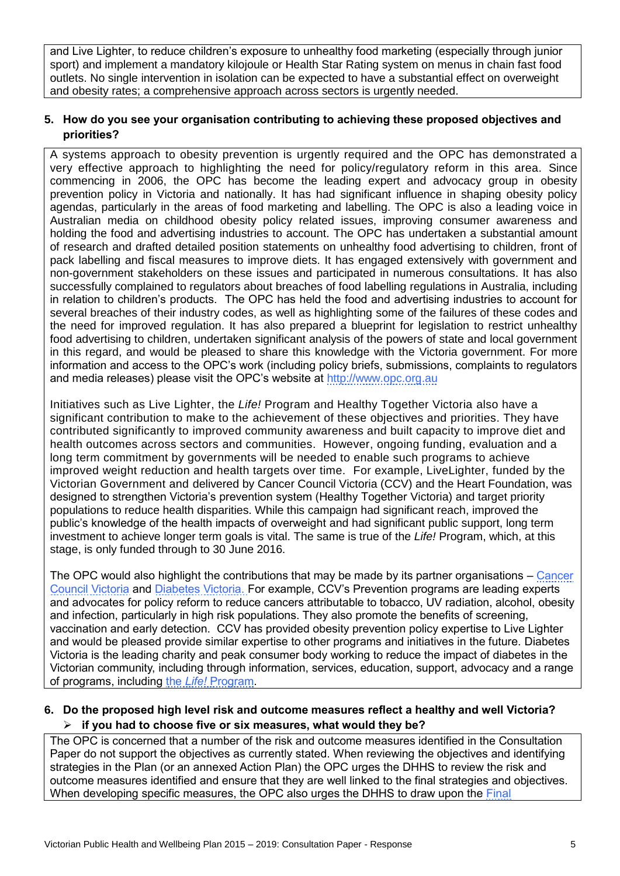and Live Lighter, to reduce children's exposure to unhealthy food marketing (especially through junior sport) and implement a mandatory kilojoule or Health Star Rating system on menus in chain fast food outlets. No single intervention in isolation can be expected to have a substantial effect on overweight and obesity rates; a comprehensive approach across sectors is urgently needed.

### **5. How do you see your organisation contributing to achieving these proposed objectives and priorities?**

A systems approach to obesity prevention is urgently required and the OPC has demonstrated a very effective approach to highlighting the need for policy/regulatory reform in this area. Since commencing in 2006, the OPC has become the leading expert and advocacy group in obesity prevention policy in Victoria and nationally. It has had significant influence in shaping obesity policy agendas, particularly in the areas of food marketing and labelling. The OPC is also a leading voice in Australian media on childhood obesity policy related issues, improving consumer awareness and holding the food and advertising industries to account. The OPC has undertaken a substantial amount of research and drafted detailed position statements on unhealthy food advertising to children, front of pack labelling and fiscal measures to improve diets. It has engaged extensively with government and non-government stakeholders on these issues and participated in numerous consultations. It has also successfully complained to regulators about breaches of food labelling regulations in Australia, including in relation to children's products. The OPC has held the food and advertising industries to account for several breaches of their industry codes, as well as highlighting some of the failures of these codes and the need for improved regulation. It has also prepared a blueprint for legislation to restrict unhealthy food advertising to children, undertaken significant analysis of the powers of state and local government in this regard, and would be pleased to share this knowledge with the Victoria government. For more information and access to the OPC's work (including policy briefs, submissions, complaints to regulators and media releases) please visit the OPC's website at [http://www.opc.org.au](http://www.opc.org.au/)

Initiatives such as Live Lighter, the *Life!* Program and Healthy Together Victoria also have a significant contribution to make to the achievement of these objectives and priorities. They have contributed significantly to improved community awareness and built capacity to improve diet and health outcomes across sectors and communities. However, ongoing funding, evaluation and a long term commitment by governments will be needed to enable such programs to achieve improved weight reduction and health targets over time. For example, LiveLighter, funded by the Victorian Government and delivered by Cancer Council Victoria (CCV) and the Heart Foundation, was designed to strengthen Victoria's prevention system (Healthy Together Victoria) and target priority populations to reduce health disparities. While this campaign had significant reach, improved the public's knowledge of the health impacts of overweight and had significant public support, long term investment to achieve longer term goals is vital. The same is true of the *Life!* Program, which, at this stage, is only funded through to 30 June 2016.

The OPC would also highlight the contributions that may be made by its partner organisations – [Cancer](http://www.cancervic.org.au/)  [Council Victoria](http://www.cancervic.org.au/) and [Diabetes Victoria. F](http://www.diabetesvic.org.au/)or example, CCV's Prevention programs are leading experts and advocates for policy reform to reduce cancers attributable to tobacco, UV radiation, alcohol, obesity and infection, particularly in high risk populations. They also promote the benefits of screening, vaccination and early detection. CCV has provided obesity prevention policy expertise to Live Lighter and would be pleased provide similar expertise to other programs and initiatives in the future. Diabetes Victoria is the leading charity and peak consumer body working to reduce the impact of diabetes in the Victorian community, including through information, services, education, support, advocacy and a range of programs, including the *Life!* [Program.](http://www.lifeprogram.org.au/)

#### **6. Do the proposed high level risk and outcome measures reflect a healthy and well Victoria? if you had to choose five or six measures, what would they be?**

The OPC is concerned that a number of the risk and outcome measures identified in the Consultation Paper do not support the objectives as currently stated. When reviewing the objectives and identifying strategies in the Plan (or an annexed Action Plan) the OPC urges the DHHS to review the risk and outcome measures identified and ensure that they are well linked to the final strategies and objectives. When developing specific measures, the OPC also urges the DHHS to draw upon the [Final](https://www.idf.org/sites/default/files/GMF_Final%20Table%20of%20Targets.pdf)